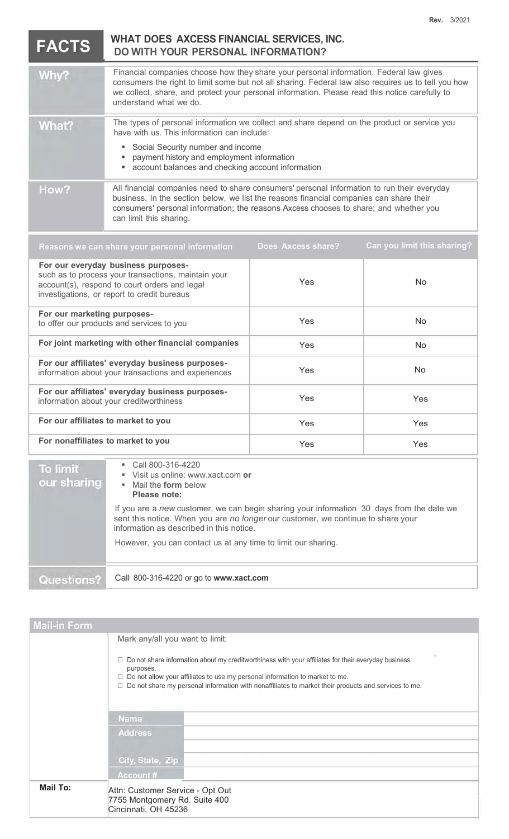$FACTS$ 

## **WHAT DOES A XCESS FINANCIAL SE RVICES, INC. WITH YOU R PERSONAL INFORMATION?**

| Why?  | Financial companies choose how they share your personal information. Federal law gives<br>consumers the right to limit some but not all sharing. Federal law also requires us to tell you how<br>we collect, share, and protect your personal information. Please read this notice carefully to<br>understand what we do. |
|-------|---------------------------------------------------------------------------------------------------------------------------------------------------------------------------------------------------------------------------------------------------------------------------------------------------------------------------|
| What? | The types of personal information we collect and share depend on the product or service you<br>have with us. This information can include:<br>• Social Security number and income<br>payment history and employment information<br>• account balances and checking account information                                    |
| How?  | All financial companies need to share consumers' personal information to run their everyday<br>business. In the section below, we list the reasons financial companies can share their<br>consumers' personal information; the reasons Axcess chooses to share; and whether you<br>can limit this sharing.                |

| Reasons we can share your personal information                                                                                                                                             | Does Axcess share? | Can you limit this sharing? |
|--------------------------------------------------------------------------------------------------------------------------------------------------------------------------------------------|--------------------|-----------------------------|
| For our everyday business purposes-<br>such as to process your transactions, maintain your<br>account(s), respond to court orders and legal<br>investigations, or report to credit bureaus | Yes                | No.                         |
| For our marketing purposes-<br>to offer our products and services to you                                                                                                                   | Yes                | No.                         |
| For joint marketing with other financial companies                                                                                                                                         | Yes                | No.                         |
| For our affiliates' everyday business purposes-<br>information about your transactions and experiences                                                                                     | Yes                | No.                         |
| For our affiliates' everyday business purposes-<br>information about your creditworthiness                                                                                                 | Yes                | Yes                         |
| For our affiliates to market to you                                                                                                                                                        | Yes                | <b>Yes</b>                  |
| For nonaffiliates to market to you                                                                                                                                                         | Yes                | Yes                         |
|                                                                                                                                                                                            |                    |                             |

Call 800-316-4220 To limit ■ Visit us online: www.xact.com **or**<br>■ Mail the **form** below our sharing Mail the **form** below **Please note:** If you are a *new* customer, we can begin sharing your information 30 days from the date we sent this notice. When you are *no longer* our customer, we continue to share your information as described in this notice. However, you can contact us at any time to limit our sharing. Questions? Call 800-316-4220 or go to **www.xact.com**

| <b>Mail-in Form</b> |                                                                                                                                                                                                                                                                                                                                                                  |  |  |  |
|---------------------|------------------------------------------------------------------------------------------------------------------------------------------------------------------------------------------------------------------------------------------------------------------------------------------------------------------------------------------------------------------|--|--|--|
|                     | Mark any/all you want to limit:<br>$\Box$ Do not share information about my creditworthiness with your affiliates for their everyday business<br>purposes.<br>$\Box$ Do not allow your affiliates to use my personal information to market to me.<br>$\Box$ Do not share my personal information with nonaffiliates to market their products and services to me. |  |  |  |
|                     | <b>Name</b>                                                                                                                                                                                                                                                                                                                                                      |  |  |  |
|                     | <b>Address</b>                                                                                                                                                                                                                                                                                                                                                   |  |  |  |
|                     | City, State, Zip                                                                                                                                                                                                                                                                                                                                                 |  |  |  |
|                     | <b>Account #</b>                                                                                                                                                                                                                                                                                                                                                 |  |  |  |
| <b>Mail To:</b>     | Attn: Customer Service - Opt Out<br>7755 Montgomery Rd. Suite 400<br>Cincinnati, OH 45236                                                                                                                                                                                                                                                                        |  |  |  |